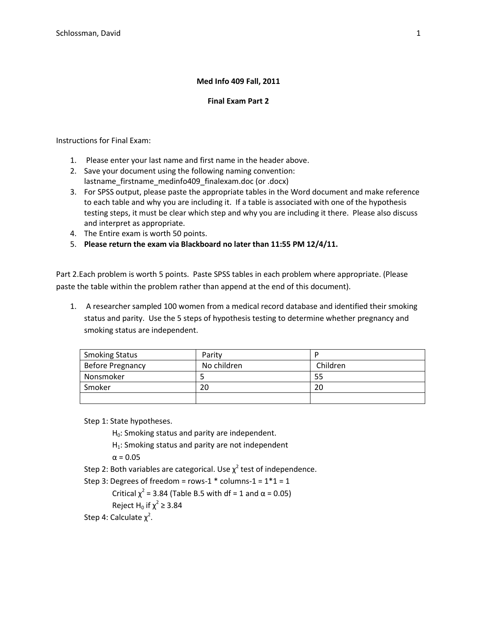# **Med Info 409 Fall, 2011**

# **Final Exam Part 2**

Instructions for Final Exam:

- 1. Please enter your last name and first name in the header above.
- 2. Save your document using the following naming convention: lastname\_firstname\_medinfo409\_finalexam.doc (or .docx)
- 3. For SPSS output, please paste the appropriate tables in the Word document and make reference to each table and why you are including it. If a table is associated with one of the hypothesis testing steps, it must be clear which step and why you are including it there. Please also discuss and interpret as appropriate.
- 4. The Entire exam is worth 50 points.
- 5. **Please return the exam via Blackboard no later than 11:55 PM 12/4/11.**

Part 2.Each problem is worth 5 points. Paste SPSS tables in each problem where appropriate. (Please paste the table within the problem rather than append at the end of this document).

1. A researcher sampled 100 women from a medical record database and identified their smoking status and parity. Use the 5 steps of hypothesis testing to determine whether pregnancy and smoking status are independent.

| <b>Smoking Status</b>   | Parity      |          |
|-------------------------|-------------|----------|
| <b>Before Pregnancy</b> | No children | Children |
| Nonsmoker               |             | 55       |
| Smoker                  | 20          | 20       |
|                         |             |          |

Step 1: State hypotheses.

 $H_0$ : Smoking status and parity are independent.

 $H_1$ : Smoking status and parity are not independent

 $\alpha = 0.05$ 

Step 2: Both variables are categorical. Use  $\chi^2$  test of independence.

Step 3: Degrees of freedom = rows-1  $*$  columns-1 =  $1*1 = 1$ 

Critical  $\chi^2$  = 3.84 (Table B.5 with df = 1 and α = 0.05)

Reject H<sub>0</sub> if  $\chi^2$   $\geq$  3.84

Step 4: Calculate  $\chi^2$ .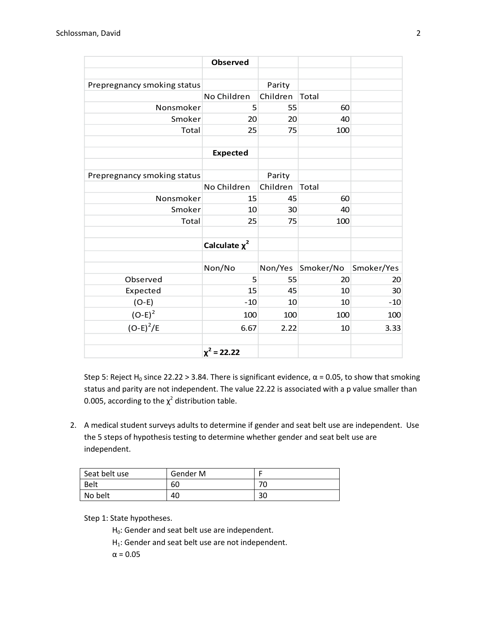|                             | <b>Observed</b>    |          |              |            |
|-----------------------------|--------------------|----------|--------------|------------|
|                             |                    |          |              |            |
| Prepregnancy smoking status |                    | Parity   |              |            |
|                             | No Children        | Children | <b>Total</b> |            |
| Nonsmoker                   | 5                  | 55       | 60           |            |
| Smoker                      | 20                 | 20       | 40           |            |
| <b>Total</b>                | 25                 | 75       | 100          |            |
|                             |                    |          |              |            |
|                             | <b>Expected</b>    |          |              |            |
|                             |                    |          |              |            |
| Prepregnancy smoking status |                    | Parity   |              |            |
|                             | No Children        | Children | Total        |            |
| Nonsmoker                   | 15                 | 45       | 60           |            |
| Smoker                      | 10                 | 30       | 40           |            |
| Total                       | 25                 | 75       | 100          |            |
|                             |                    |          |              |            |
|                             | Calculate $\chi^2$ |          |              |            |
|                             |                    |          |              |            |
|                             | Non/No             | Non/Yes  | Smoker/No    | Smoker/Yes |
| Observed                    | 5                  | 55       | 20           | 20         |
| Expected                    | 15                 | 45       | 10           | 30         |
| $(O-E)$                     | $-10$              | 10       | 10           | $-10$      |
| $(O-E)^2$                   | 100                | 100      | 100          | 100        |
| $(O-E)^2/E$                 | 6.67               | 2.22     | 10           | 3.33       |
|                             |                    |          |              |            |
|                             | $\chi^2$ = 22.22   |          |              |            |

Step 5: Reject H<sub>0</sub> since 22.22 > 3.84. There is significant evidence,  $\alpha$  = 0.05, to show that smoking status and parity are not independent. The value 22.22 is associated with a p value smaller than 0.005, according to the  $\chi^2$  distribution table.

2. A medical student surveys adults to determine if gender and seat belt use are independent. Use the 5 steps of hypothesis testing to determine whether gender and seat belt use are independent.

| Seat belt use | Gender M |    |
|---------------|----------|----|
| <b>Belt</b>   | 60       | 70 |
| No belt       | 40       | 30 |

Step 1: State hypotheses.

 $H_0$ : Gender and seat belt use are independent.

 $H_1$ : Gender and seat belt use are not independent.

 $\alpha = 0.05$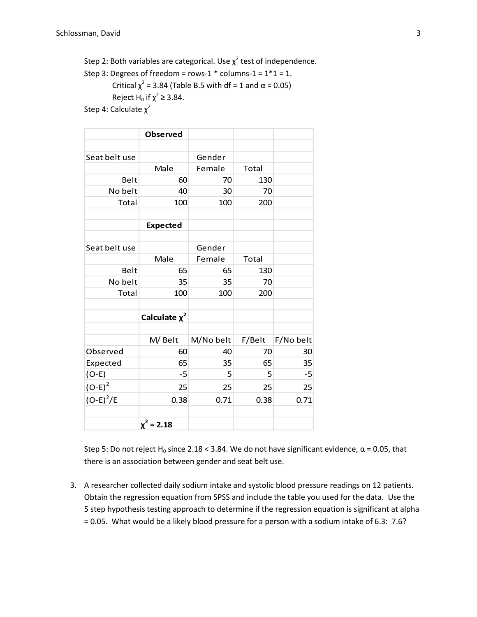Step 2: Both variables are categorical. Use  $\chi^2$  test of independence. Step 3: Degrees of freedom = rows-1  $*$  columns-1 =  $1*1 = 1$ . Critical  $\chi^2$  = 3.84 (Table B.5 with df = 1 and α = 0.05) Reject H<sub>0</sub> if  $\chi^2 \geq 3.84$ . Step 4: Calculate  $\chi^2$ 

|               | <b>Observed</b>    |           |              |           |
|---------------|--------------------|-----------|--------------|-----------|
|               |                    |           |              |           |
| Seat belt use |                    | Gender    |              |           |
|               | Male               | Female    | <b>Total</b> |           |
| Belt          | 60                 | 70        | 130          |           |
| No belt       | 40                 | 30        | 70           |           |
| Total         | 100                | 100       | 200          |           |
|               |                    |           |              |           |
|               | <b>Expected</b>    |           |              |           |
|               |                    |           |              |           |
| Seat belt use |                    | Gender    |              |           |
|               | Male               | Female    | Total        |           |
| Belt          | 65                 | 65        | 130          |           |
| No belt       | 35                 | 35        | 70           |           |
| Total         | 100                | 100       | 200          |           |
|               |                    |           |              |           |
|               | Calculate $\chi^2$ |           |              |           |
|               |                    |           |              |           |
|               | M/Belt             | M/No belt | F/Belt       | F/No belt |
| Observed      | 60                 | 40        | 70           | 30        |
| Expected      | 65                 | 35        | 65           | 35        |
| $(O-E)$       | $-5$               | 5         | 5            | $-5$      |
| $(O-E)^2$     | 25                 | 25        | 25           | 25        |
| $(O-E)^2/E$   | 0.38               | 0.71      | 0.38         | 0.71      |
|               |                    |           |              |           |
|               | $\chi^2$ = 2.18    |           |              |           |

Step 5: Do not reject H<sub>0</sub> since 2.18 < 3.84. We do not have significant evidence,  $\alpha$  = 0.05, that there is an association between gender and seat belt use.

3. A researcher collected daily sodium intake and systolic blood pressure readings on 12 patients. Obtain the regression equation from SPSS and include the table you used for the data. Use the 5 step hypothesis testing approach to determine if the regression equation is significant at alpha = 0.05. What would be a likely blood pressure for a person with a sodium intake of 6.3: 7.6?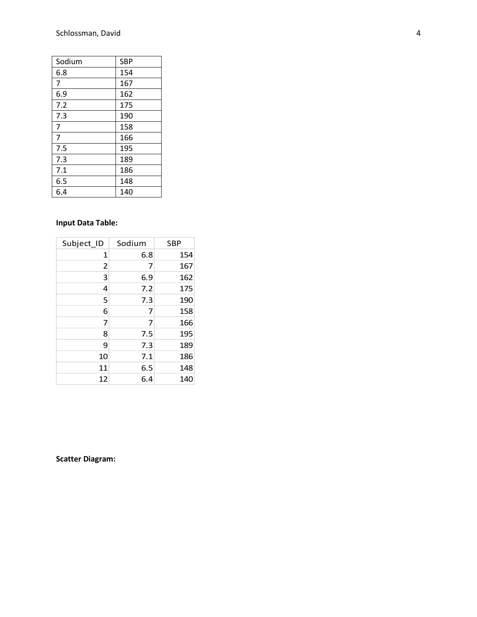| Sodium | <b>SBP</b> |
|--------|------------|
| 6.8    | 154        |
| 7      | 167        |
| 6.9    | 162        |
| 7.2    | 175        |
| 7.3    | 190        |
| 7      | 158        |
| 7      | 166        |
| 7.5    | 195        |
| 7.3    | 189        |
| 7.1    | 186        |
| 6.5    | 148        |
| 6.4    | 140        |

# **Input Data Table:**

| Subject_ID     | Sodium | <b>SBP</b> |
|----------------|--------|------------|
| 1              | 6.8    | 154        |
| $\overline{2}$ | 7      | 167        |
| 3              | 6.9    | 162        |
| 4              | 7.2    | 175        |
| 5              | 7.3    | 190        |
| 6              | 7      | 158        |
| 7              | 7      | 166        |
| 8              | 7.5    | 195        |
| 9              | 7.3    | 189        |
| 10             | 7.1    | 186        |
| 11             | 6.5    | 148        |
| 12             | 6.4    | 140        |

# **Scatter Diagram:**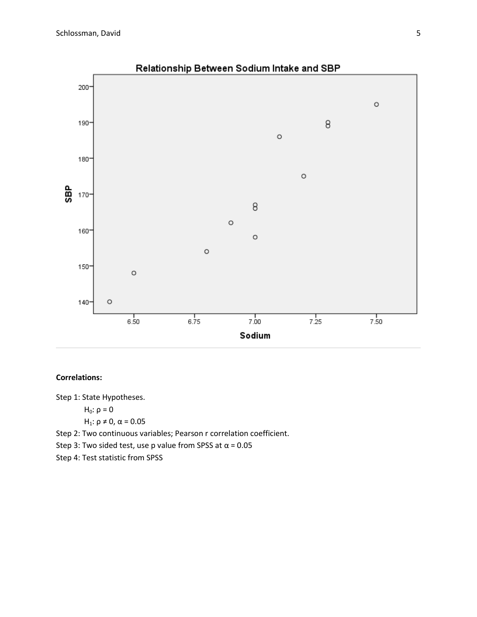

# **Correlations:**

Step 1: State Hypotheses.

$$
H_0: \rho = 0
$$

$$
H_1: \rho \neq 0, \alpha = 0.05
$$

Step 2: Two continuous variables; Pearson r correlation coefficient.

Step 3: Two sided test, use p value from SPSS at  $\alpha$  = 0.05

Step 4: Test statistic from SPSS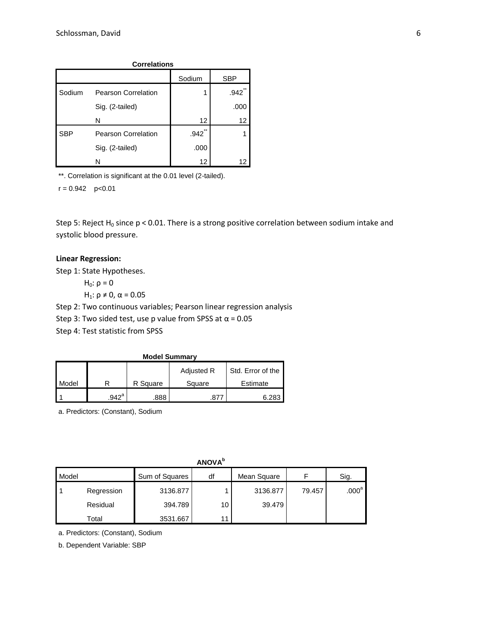| <b>Correlations</b> |                            |                      |               |  |
|---------------------|----------------------------|----------------------|---------------|--|
|                     |                            | Sodium               | <b>SBP</b>    |  |
| Sodium              | <b>Pearson Correlation</b> |                      | $***$<br>.942 |  |
|                     | Sig. (2-tailed)            |                      | .000          |  |
|                     | N                          | 12                   | 12            |  |
| <b>SBP</b>          | <b>Pearson Correlation</b> | $\star\star$<br>.942 |               |  |
|                     | Sig. (2-tailed)            | .000                 |               |  |
|                     | N                          | 12                   | 12            |  |

\*\*. Correlation is significant at the 0.01 level (2-tailed).

 $r = 0.942$  p<0.01

Step 5: Reject H<sub>0</sub> since p < 0.01. There is a strong positive correlation between sodium intake and systolic blood pressure.

# **Linear Regression:**

Step 1: State Hypotheses.

 $H_0: ρ = 0$ 

H<sub>1</sub>:  $ρ ≠ 0$ ,  $α = 0.05$ 

Step 2: Two continuous variables; Pearson linear regression analysis

Step 3: Two sided test, use p value from SPSS at  $\alpha$  = 0.05

Step 4: Test statistic from SPSS

| <b>Model Summary</b>            |                |          |        |          |  |  |  |  |
|---------------------------------|----------------|----------|--------|----------|--|--|--|--|
| Std. Error of the<br>Adjusted R |                |          |        |          |  |  |  |  |
| Model                           |                | R Square | Square | Estimate |  |  |  |  |
|                                 | $.942^{\circ}$ | .888     |        | 6.283    |  |  |  |  |

a. Predictors: (Constant), Sodium

**ANOVA<sup>b</sup>**

| Model |            | Sum of Squares | df | Mean Square |        | Sig.           |
|-------|------------|----------------|----|-------------|--------|----------------|
|       | Regression | 3136.877       |    | 3136.877    | 79.457 | $.000^{\rm a}$ |
|       | Residual   | 394.789        | 10 | 39.479      |        |                |
|       | Total      | 3531.667       | 11 |             |        |                |

a. Predictors: (Constant), Sodium

b. Dependent Variable: SBP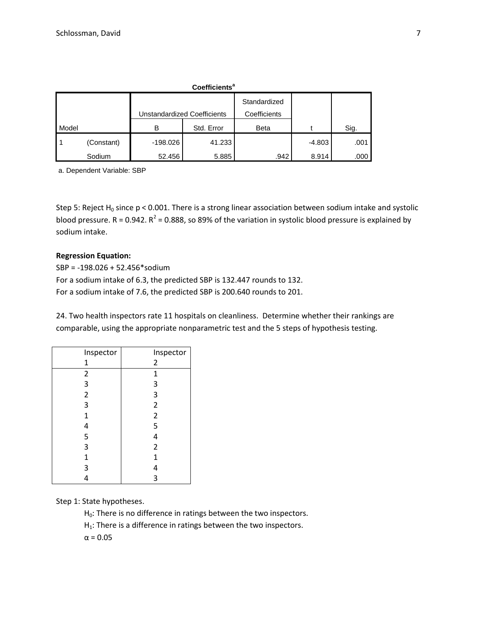|       | Coefficients <sup>a</sup> |                                    |            |              |          |      |  |
|-------|---------------------------|------------------------------------|------------|--------------|----------|------|--|
|       |                           |                                    |            | Standardized |          |      |  |
|       |                           | <b>Unstandardized Coefficients</b> |            | Coefficients |          |      |  |
| Model |                           | B                                  | Std. Error | <b>Beta</b>  |          | Sig. |  |
|       | (Constant)                | $-198.026$                         | 41.233     |              | $-4.803$ | .001 |  |
|       | Sodium                    | 52.456                             | 5.885      | .942         | 8.914    | .000 |  |

a. Dependent Variable: SBP

Step 5: Reject H<sub>0</sub> since p < 0.001. There is a strong linear association between sodium intake and systolic blood pressure. R = 0.942.  $R^2$  = 0.888, so 89% of the variation in systolic blood pressure is explained by sodium intake.

### **Regression Equation:**

SBP = -198.026 + 52.456\*sodium For a sodium intake of 6.3, the predicted SBP is 132.447 rounds to 132. For a sodium intake of 7.6, the predicted SBP is 200.640 rounds to 201.

24. Two health inspectors rate 11 hospitals on cleanliness. Determine whether their rankings are comparable, using the appropriate nonparametric test and the 5 steps of hypothesis testing.

| Inspector      | Inspector      |
|----------------|----------------|
| 1              | 2              |
| $\overline{2}$ | 1              |
| 3              | 3              |
| $\overline{c}$ | 3              |
| 3              | $\overline{2}$ |
| $\mathbf{1}$   | $\mathbf 2$    |
| 4              | 5              |
| 5              | 4              |
| 3              | $\overline{2}$ |
| $\mathbf 1$    | 1              |
| 3              | 4              |
|                | 3              |

Step 1: State hypotheses.

H<sub>0</sub>: There is no difference in ratings between the two inspectors.

 $H_1$ : There is a difference in ratings between the two inspectors.

 $\alpha = 0.05$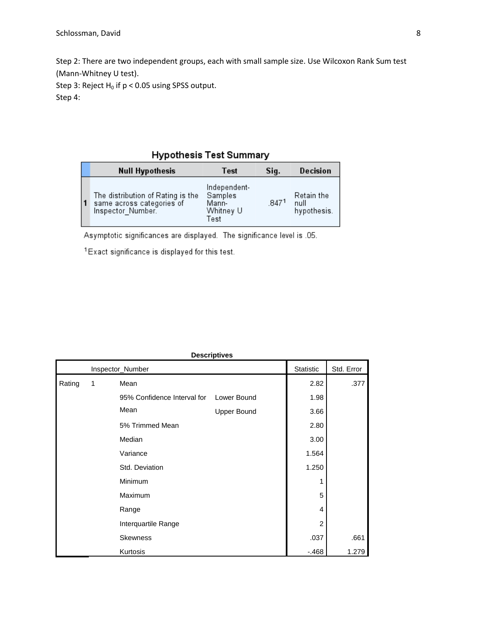Step 2: There are two independent groups, each with small sample size. Use Wilcoxon Rank Sum test (Mann-Whitney U test).

Step 3: Reject  $H_0$  if  $p < 0.05$  using SPSS output.

Step 4:

# **Hypothesis Test Summary**

|              | <b>Null Hypothesis</b>                                                              | Test                                                  | Sig.  | Decision                          |
|--------------|-------------------------------------------------------------------------------------|-------------------------------------------------------|-------|-----------------------------------|
| $\mathbf{1}$ | The distribution of Rating is the<br>same across categories of<br>Inspector Number. | Independent-<br>Samples<br>Mann-<br>Whitney U<br>Test | .8471 | Retain the<br>null<br>hypothesis. |

Asymptotic significances are displayed. The significance level is .05.

<sup>1</sup> Exact significance is displayed for this test.

| <b>Descriptives</b> |                  |                             |                    |                |       |  |  |  |
|---------------------|------------------|-----------------------------|--------------------|----------------|-------|--|--|--|
|                     | Inspector_Number | Statistic                   | Std. Error         |                |       |  |  |  |
| Rating              | 1                | Mean                        | 2.82               | .377           |       |  |  |  |
|                     |                  | 95% Confidence Interval for | Lower Bound        | 1.98           |       |  |  |  |
|                     |                  | Mean                        | <b>Upper Bound</b> | 3.66           |       |  |  |  |
|                     |                  | 5% Trimmed Mean             | 2.80               |                |       |  |  |  |
|                     | Median           |                             |                    |                |       |  |  |  |
|                     |                  | Variance                    |                    | 1.564          |       |  |  |  |
|                     |                  | Std. Deviation              |                    | 1.250          |       |  |  |  |
|                     |                  | Minimum                     |                    | 1              |       |  |  |  |
|                     |                  | Maximum                     |                    | 5              |       |  |  |  |
|                     |                  | Range                       |                    | 4              |       |  |  |  |
|                     |                  | Interquartile Range         |                    | $\overline{2}$ |       |  |  |  |
|                     |                  | <b>Skewness</b>             |                    | .037           | .661  |  |  |  |
|                     |                  | Kurtosis                    |                    | $-468$         | 1.279 |  |  |  |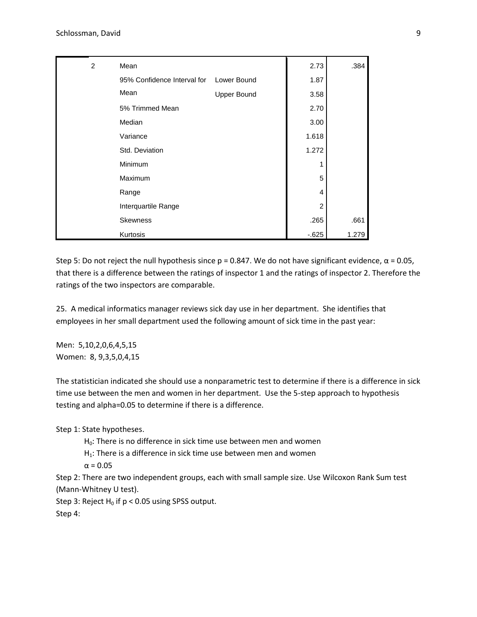| 2 | Mean                        |                    | 2.73           | .384  |
|---|-----------------------------|--------------------|----------------|-------|
|   | 95% Confidence Interval for | Lower Bound        | 1.87           |       |
|   | Mean                        | <b>Upper Bound</b> | 3.58           |       |
|   | 5% Trimmed Mean             | 2.70               |                |       |
|   | Median                      |                    |                |       |
|   | Variance                    |                    | 1.618          |       |
|   | Std. Deviation              |                    | 1.272          |       |
|   | Minimum                     | 1                  |                |       |
|   | Maximum                     |                    | 5              |       |
|   | Range                       |                    | 4              |       |
|   | Interquartile Range         |                    | $\overline{2}$ |       |
|   | <b>Skewness</b>             |                    | .265           | .661  |
|   | Kurtosis                    |                    | $-0.625$       | 1.279 |

Step 5: Do not reject the null hypothesis since  $p = 0.847$ . We do not have significant evidence,  $\alpha = 0.05$ , that there is a difference between the ratings of inspector 1 and the ratings of inspector 2. Therefore the ratings of the two inspectors are comparable.

25. A medical informatics manager reviews sick day use in her department. She identifies that employees in her small department used the following amount of sick time in the past year:

Men: 5,10,2,0,6,4,5,15 Women: 8, 9,3,5,0,4,15

The statistician indicated she should use a nonparametric test to determine if there is a difference in sick time use between the men and women in her department. Use the 5-step approach to hypothesis testing and alpha=0.05 to determine if there is a difference.

Step 1: State hypotheses.

 $H_0$ : There is no difference in sick time use between men and women

 $H_1$ : There is a difference in sick time use between men and women

 $\alpha = 0.05$ 

Step 2: There are two independent groups, each with small sample size. Use Wilcoxon Rank Sum test (Mann-Whitney U test).

Step 3: Reject  $H_0$  if p < 0.05 using SPSS output.

Step 4: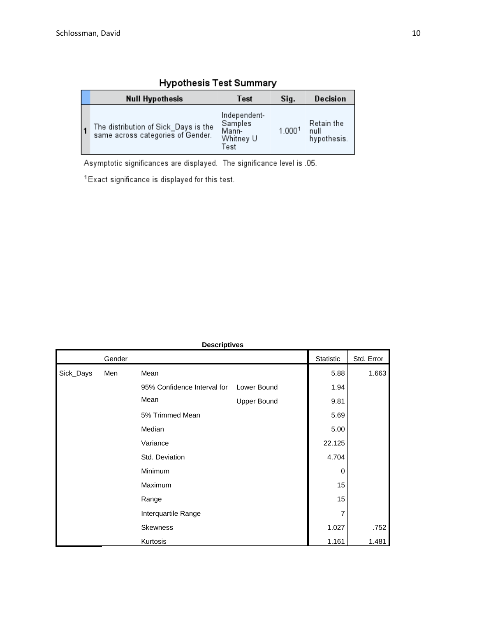|  | <b>Null Hypothesis</b>                                                    | Test                                                  | Sig.   | Decision                          |
|--|---------------------------------------------------------------------------|-------------------------------------------------------|--------|-----------------------------------|
|  | The distribution of Sick_Days is the<br>same across categories of Gender. | Independent-<br>Samples<br>Mann-<br>Whitney U<br>Test | 1.0001 | Retain the<br>null<br>hypothesis. |

# **Hypothesis Test Summary**

Asymptotic significances are displayed. The significance level is .05.

<sup>1</sup>Exact significance is displayed for this test.

|           |        | <b>Descriptives</b>         |                    |           |            |
|-----------|--------|-----------------------------|--------------------|-----------|------------|
|           | Gender |                             |                    | Statistic | Std. Error |
| Sick_Days | Men    | Mean                        |                    | 5.88      | 1.663      |
|           |        | 95% Confidence Interval for | Lower Bound        | 1.94      |            |
|           |        | Mean                        | <b>Upper Bound</b> | 9.81      |            |
|           |        | 5% Trimmed Mean             |                    | 5.69      |            |
|           |        | Median                      |                    | 5.00      |            |
|           |        | Variance                    |                    | 22.125    |            |
|           |        | Std. Deviation              |                    | 4.704     |            |
|           |        | Minimum                     |                    | 0         |            |
|           |        | Maximum                     |                    | 15        |            |
|           |        | Range                       |                    | 15        |            |
|           |        | Interquartile Range         |                    | 7         |            |
|           |        | <b>Skewness</b>             |                    | 1.027     | .752       |
|           |        | Kurtosis                    |                    | 1.161     | 1.481      |

#### **Descriptives**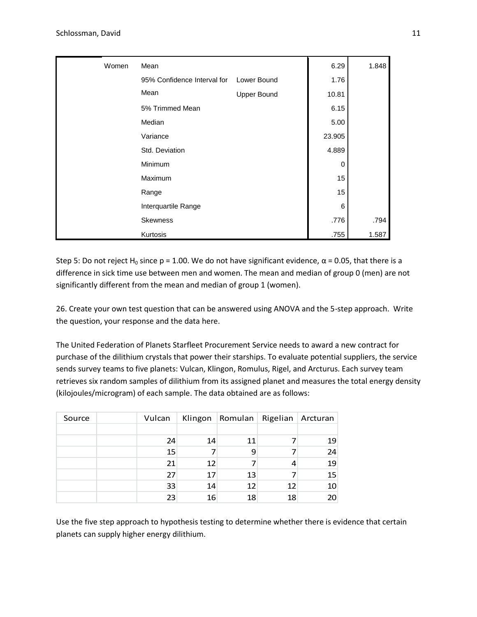| Women | Mean                        |                    | 6.29   | 1.848 |
|-------|-----------------------------|--------------------|--------|-------|
|       | 95% Confidence Interval for | Lower Bound        | 1.76   |       |
|       | Mean                        | <b>Upper Bound</b> | 10.81  |       |
|       | 5% Trimmed Mean             |                    | 6.15   |       |
|       | Median                      |                    | 5.00   |       |
|       | Variance                    |                    | 23.905 |       |
|       | Std. Deviation              |                    | 4.889  |       |
|       | Minimum                     |                    | 0      |       |
|       | <b>Maximum</b>              |                    | 15     |       |
|       | Range                       |                    | 15     |       |
|       | Interquartile Range         |                    | 6      |       |
|       | <b>Skewness</b>             |                    | .776   | .794  |
|       | Kurtosis                    |                    | .755   | 1.587 |

Step 5: Do not reject H<sub>0</sub> since p = 1.00. We do not have significant evidence,  $\alpha$  = 0.05, that there is a difference in sick time use between men and women. The mean and median of group 0 (men) are not significantly different from the mean and median of group 1 (women).

26. Create your own test question that can be answered using ANOVA and the 5-step approach. Write the question, your response and the data here.

The United Federation of Planets Starfleet Procurement Service needs to award a new contract for purchase of the dilithium crystals that power their starships. To evaluate potential suppliers, the service sends survey teams to five planets: Vulcan, Klingon, Romulus, Rigel, and Arcturus. Each survey team retrieves six random samples of dilithium from its assigned planet and measures the total energy density (kilojoules/microgram) of each sample. The data obtained are as follows:

| Source | Vulcan |    | Klingon   Romulan | Rigelian | Arcturan |
|--------|--------|----|-------------------|----------|----------|
|        |        |    |                   |          |          |
|        | 24     | 14 | 11                |          | 19       |
|        | 15     |    | 9                 |          | 24       |
|        | 21     | 12 |                   |          | 19       |
|        | 27     | 17 | 13                |          | 15       |
|        | 33     | 14 | 12                | 12       | 10       |
|        | 23     | 16 | 18                | 18       | 20       |

Use the five step approach to hypothesis testing to determine whether there is evidence that certain planets can supply higher energy dilithium.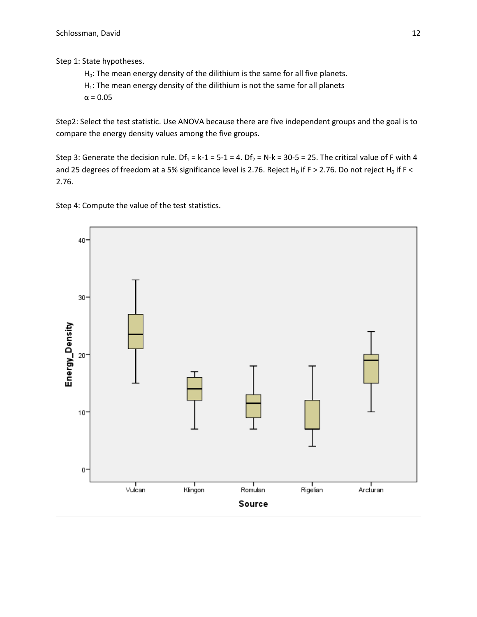Step 1: State hypotheses.

 $H_0$ : The mean energy density of the dilithium is the same for all five planets.

 $H_1$ : The mean energy density of the dilithium is not the same for all planets

 $\alpha$  = 0.05

Step2: Select the test statistic. Use ANOVA because there are five independent groups and the goal is to compare the energy density values among the five groups.

Step 3: Generate the decision rule. Df<sub>1</sub> = k-1 = 5-1 = 4. Df<sub>2</sub> = N-k = 30-5 = 25. The critical value of F with 4 and 25 degrees of freedom at a 5% significance level is 2.76. Reject H<sub>0</sub> if F > 2.76. Do not reject H<sub>0</sub> if F < 2.76.

Step 4: Compute the value of the test statistics.

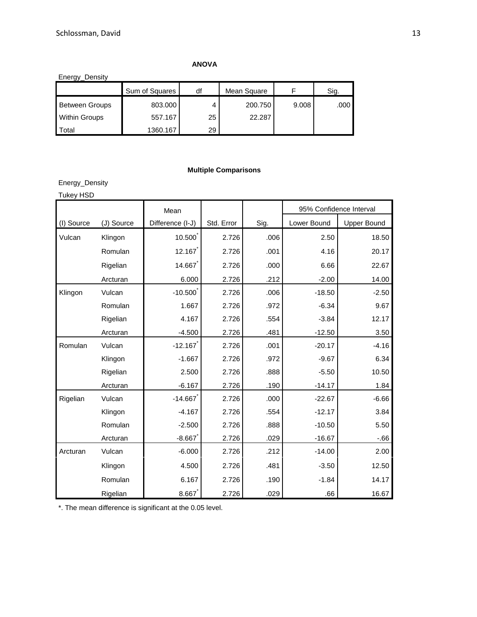# **ANOVA**

| Energy_Density        |                |    |             |       |      |  |  |  |
|-----------------------|----------------|----|-------------|-------|------|--|--|--|
|                       | Sum of Squares | df | Mean Square |       | Sig. |  |  |  |
| <b>Between Groups</b> | 803.000        |    | 200.750     | 9.008 | .000 |  |  |  |
| <b>Within Groups</b>  | 557.167        | 25 | 22.287      |       |      |  |  |  |
| <b>Total</b>          | 1360.167       | 29 |             |       |      |  |  |  |

# **Multiple Comparisons**

Energy\_Density

| <b>Tukey HSD</b> |            |                  |            |      |                         |                    |
|------------------|------------|------------------|------------|------|-------------------------|--------------------|
|                  |            | Mean             |            |      | 95% Confidence Interval |                    |
| (I) Source       | (J) Source | Difference (I-J) | Std. Error | Sig. | Lower Bound             | <b>Upper Bound</b> |
| Vulcan           | Klingon    | 10.500           | 2.726      | .006 | 2.50                    | 18.50              |
|                  | Romulan    | 12.167           | 2.726      | .001 | 4.16                    | 20.17              |
|                  | Rigelian   | 14.667           | 2.726      | .000 | 6.66                    | 22.67              |
|                  | Arcturan   | 6.000            | 2.726      | .212 | $-2.00$                 | 14.00              |
| Klingon          | Vulcan     | $-10.500$        | 2.726      | .006 | $-18.50$                | $-2.50$            |
|                  | Romulan    | 1.667            | 2.726      | .972 | $-6.34$                 | 9.67               |
|                  | Rigelian   | 4.167            | 2.726      | .554 | $-3.84$                 | 12.17              |
|                  | Arcturan   | $-4.500$         | 2.726      | .481 | $-12.50$                | 3.50               |
| Romulan          | Vulcan     | $-12.167$        | 2.726      | .001 | $-20.17$                | $-4.16$            |
|                  | Klingon    | $-1.667$         | 2.726      | .972 | $-9.67$                 | 6.34               |
|                  | Rigelian   | 2.500            | 2.726      | .888 | $-5.50$                 | 10.50              |
|                  | Arcturan   | $-6.167$         | 2.726      | .190 | $-14.17$                | 1.84               |
| Rigelian         | Vulcan     | $-14.667$        | 2.726      | .000 | $-22.67$                | $-6.66$            |
|                  | Klingon    | $-4.167$         | 2.726      | .554 | $-12.17$                | 3.84               |
|                  | Romulan    | $-2.500$         | 2.726      | .888 | $-10.50$                | 5.50               |
|                  | Arcturan   | $-8.667$         | 2.726      | .029 | $-16.67$                | $-66$              |
| Arcturan         | Vulcan     | $-6.000$         | 2.726      | .212 | $-14.00$                | 2.00               |
|                  | Klingon    | 4.500            | 2.726      | .481 | $-3.50$                 | 12.50              |
|                  | Romulan    | 6.167            | 2.726      | .190 | $-1.84$                 | 14.17              |
|                  | Rigelian   | 8.667            | 2.726      | .029 | .66                     | 16.67              |

\*. The mean difference is significant at the 0.05 level.